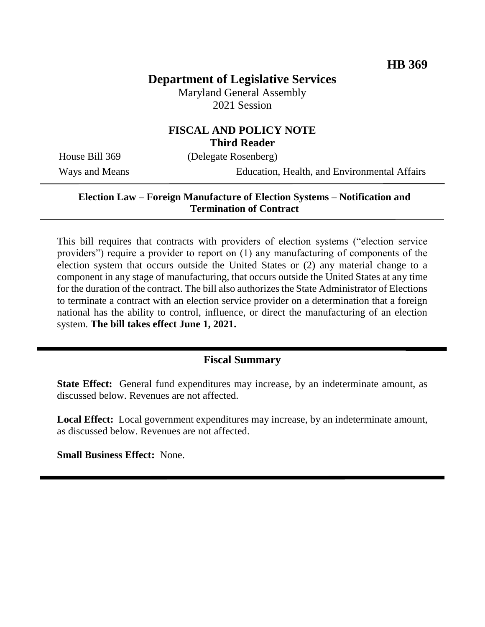# **Department of Legislative Services**

Maryland General Assembly 2021 Session

## **FISCAL AND POLICY NOTE Third Reader**

House Bill 369 (Delegate Rosenberg)

Ways and Means Education, Health, and Environmental Affairs

#### **Election Law – Foreign Manufacture of Election Systems – Notification and Termination of Contract**

This bill requires that contracts with providers of election systems ("election service providers") require a provider to report on (1) any manufacturing of components of the election system that occurs outside the United States or (2) any material change to a component in any stage of manufacturing, that occurs outside the United States at any time for the duration of the contract. The bill also authorizes the State Administrator of Elections to terminate a contract with an election service provider on a determination that a foreign national has the ability to control, influence, or direct the manufacturing of an election system. **The bill takes effect June 1, 2021.**

## **Fiscal Summary**

**State Effect:** General fund expenditures may increase, by an indeterminate amount, as discussed below. Revenues are not affected.

**Local Effect:** Local government expenditures may increase, by an indeterminate amount, as discussed below. Revenues are not affected.

**Small Business Effect:** None.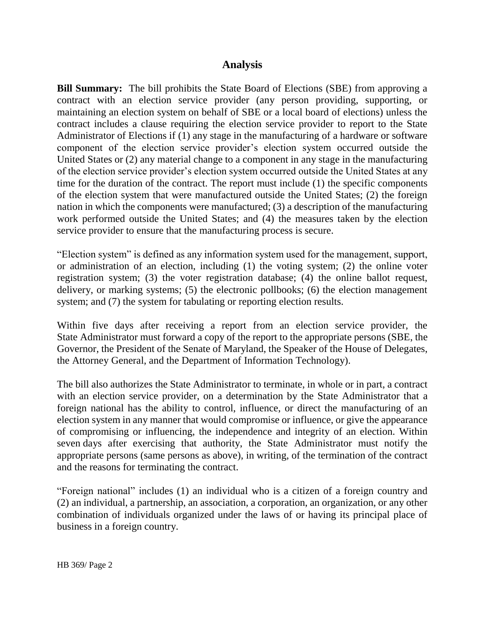## **Analysis**

**Bill Summary:** The bill prohibits the State Board of Elections (SBE) from approving a contract with an election service provider (any person providing, supporting, or maintaining an election system on behalf of SBE or a local board of elections) unless the contract includes a clause requiring the election service provider to report to the State Administrator of Elections if (1) any stage in the manufacturing of a hardware or software component of the election service provider's election system occurred outside the United States or (2) any material change to a component in any stage in the manufacturing of the election service provider's election system occurred outside the United States at any time for the duration of the contract. The report must include (1) the specific components of the election system that were manufactured outside the United States; (2) the foreign nation in which the components were manufactured; (3) a description of the manufacturing work performed outside the United States; and (4) the measures taken by the election service provider to ensure that the manufacturing process is secure.

"Election system" is defined as any information system used for the management, support, or administration of an election, including (1) the voting system; (2) the online voter registration system; (3) the voter registration database; (4) the online ballot request, delivery, or marking systems; (5) the electronic pollbooks; (6) the election management system; and (7) the system for tabulating or reporting election results.

Within five days after receiving a report from an election service provider, the State Administrator must forward a copy of the report to the appropriate persons (SBE, the Governor, the President of the Senate of Maryland, the Speaker of the House of Delegates, the Attorney General, and the Department of Information Technology).

The bill also authorizes the State Administrator to terminate, in whole or in part, a contract with an election service provider, on a determination by the State Administrator that a foreign national has the ability to control, influence, or direct the manufacturing of an election system in any manner that would compromise or influence, or give the appearance of compromising or influencing, the independence and integrity of an election. Within seven days after exercising that authority, the State Administrator must notify the appropriate persons (same persons as above), in writing, of the termination of the contract and the reasons for terminating the contract.

"Foreign national" includes (1) an individual who is a citizen of a foreign country and (2) an individual, a partnership, an association, a corporation, an organization, or any other combination of individuals organized under the laws of or having its principal place of business in a foreign country.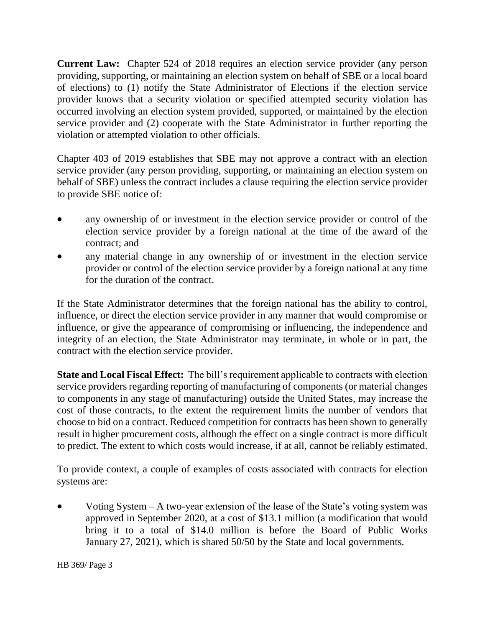**Current Law:** Chapter 524 of 2018 requires an election service provider (any person providing, supporting, or maintaining an election system on behalf of SBE or a local board of elections) to (1) notify the State Administrator of Elections if the election service provider knows that a security violation or specified attempted security violation has occurred involving an election system provided, supported, or maintained by the election service provider and (2) cooperate with the State Administrator in further reporting the violation or attempted violation to other officials.

Chapter 403 of 2019 establishes that SBE may not approve a contract with an election service provider (any person providing, supporting, or maintaining an election system on behalf of SBE) unless the contract includes a clause requiring the election service provider to provide SBE notice of:

- any ownership of or investment in the election service provider or control of the election service provider by a foreign national at the time of the award of the contract; and
- any material change in any ownership of or investment in the election service provider or control of the election service provider by a foreign national at any time for the duration of the contract.

If the State Administrator determines that the foreign national has the ability to control, influence, or direct the election service provider in any manner that would compromise or influence, or give the appearance of compromising or influencing, the independence and integrity of an election, the State Administrator may terminate, in whole or in part, the contract with the election service provider.

**State and Local Fiscal Effect:** The bill's requirement applicable to contracts with election service providers regarding reporting of manufacturing of components (or material changes to components in any stage of manufacturing) outside the United States, may increase the cost of those contracts, to the extent the requirement limits the number of vendors that choose to bid on a contract. Reduced competition for contracts has been shown to generally result in higher procurement costs, although the effect on a single contract is more difficult to predict. The extent to which costs would increase, if at all, cannot be reliably estimated.

To provide context, a couple of examples of costs associated with contracts for election systems are:

 Voting System – A two-year extension of the lease of the State's voting system was approved in September 2020, at a cost of \$13.1 million (a modification that would bring it to a total of \$14.0 million is before the Board of Public Works January 27, 2021), which is shared 50/50 by the State and local governments.

HB 369/ Page 3